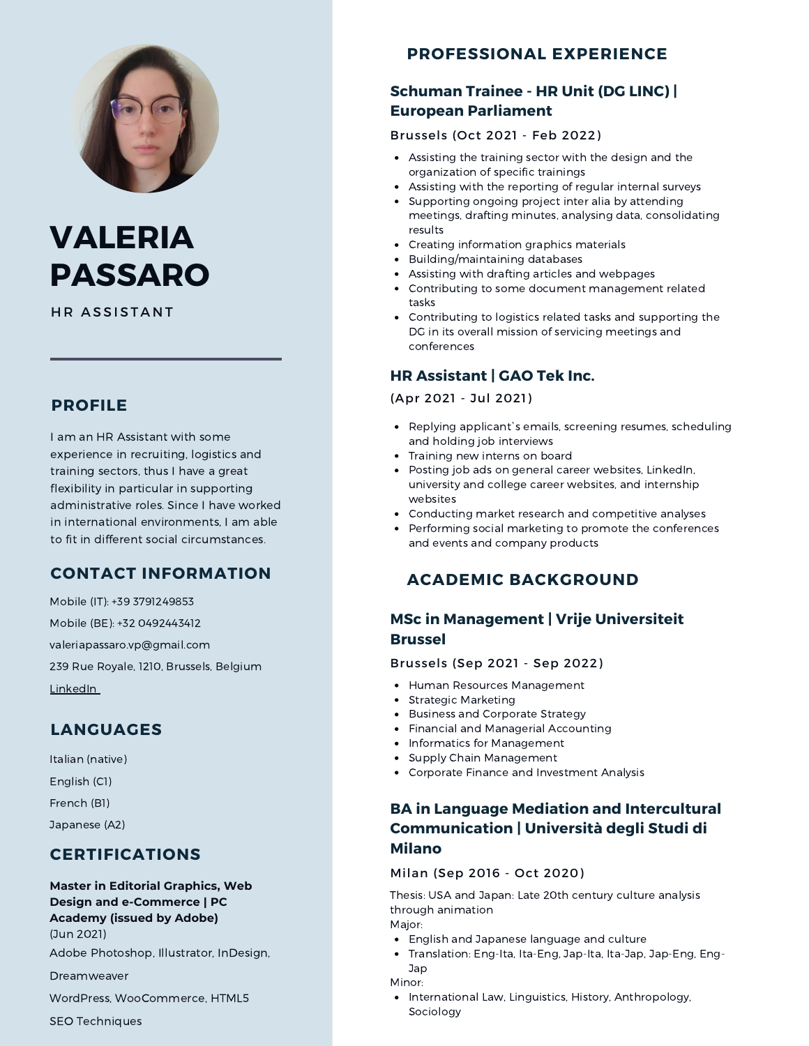

# **VALERIA PASSARO**

HR ASSISTANT

## **PROFILE**

I am an HR Assistant with some experience in recruiting, logistics and training sectors, thus I have a great flexibility in particular in supporting administrative roles. Since I have worked in international environments, I am able to fit in different social circumstances.

## **CONTACT INFORMATION**

Mobile (IT): +39 3791249853 Mobile (BE): +32 0492443412 valeriapassaro.vp@gmail.com 239 Rue Royale, 1210, Brussels, Belgium [LinkedIn](https://www.linkedin.com/in/valeria-passaro-518465198/)

## **LANGUAGES**

Italian (native) English (C1) French (B1) Japanese (A2)

## **CERTIFICATIONS**

## **Master in Editorial Graphics, Web Design and e-Commerce | PC**

#### **Academy (issued by Adobe)** (Jun 2021)

Adobe Photoshop, Illustrator, InDesign,

Dreamweaver

WordPress, WooCommerce, HTML5

SEO Techniques

# **PROFESSIONAL EXPERIENCE**

## **Schuman Trainee - HR Unit (DG LINC) | European Parliament**

#### Brussels (Oct 2021 - Feb 2022)

- Assisting the training sector with the design and the organization of specific trainings
- Assisting with the reporting of regular internal surveys
- Supporting ongoing project inter alia by attending meetings, drafting minutes, analysing data, consolidating results
- Creating information graphics materials
- Building/maintaining databases
- Assisting with drafting articles and webpages
- Contributing to some document management related tasks
- Contributing to logistics related tasks and supporting the DG in its overall mission of servicing meetings and conferences

#### **HR Assistant | GAO Tek Inc.**

#### (Apr 2021 - Jul 2021)

- Replying applicant`s emails, screening resumes, scheduling and holding job interviews
- Training new interns on board
- Posting job ads on general career websites, LinkedIn, university and college career websites, and internship websites
- Conducting market research and competitive analyses
- Performing social marketing to promote the conferences and events and company products

# **ACADEMIC BACKGROUND**

## **MSc in Management | Vrije Universiteit Brussel**

#### Brussels (Sep 2021 - Sep 2022)

- Human Resources Management
- Strategic Marketing
- Business and Corporate Strategy
- Financial and Managerial Accounting
- Informatics for Management
- Supply Chain Management
- Corporate Finance and Investment Analysis

#### **BA in Language Mediation and Intercultural Communication | Università degli Studi di Milano**

#### Milan (Sep 2016 - Oct 2020)

Thesis: USA and Japan: Late 20th century culture analysis through animation

#### Major:

- English and Japanese language and culture
- Translation: Eng-Ita, Ita-Eng, Jap-Ita, Ita-Jap, Jap-Eng, Eng- $\bullet$ Jap
- Minor:
- International Law, Linguistics, History, Anthropology, Sociology